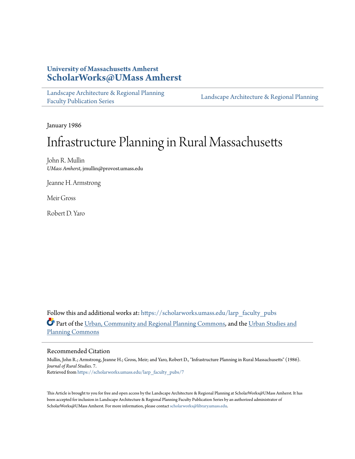# **University of Massachusetts Amherst [ScholarWorks@UMass Amherst](https://scholarworks.umass.edu?utm_source=scholarworks.umass.edu%2Flarp_faculty_pubs%2F7&utm_medium=PDF&utm_campaign=PDFCoverPages)**

[Landscape Architecture & Regional Planning](https://scholarworks.umass.edu/larp_faculty_pubs?utm_source=scholarworks.umass.edu%2Flarp_faculty_pubs%2F7&utm_medium=PDF&utm_campaign=PDFCoverPages) [Faculty Publication Series](https://scholarworks.umass.edu/larp_faculty_pubs?utm_source=scholarworks.umass.edu%2Flarp_faculty_pubs%2F7&utm_medium=PDF&utm_campaign=PDFCoverPages)

[Landscape Architecture & Regional Planning](https://scholarworks.umass.edu/larp?utm_source=scholarworks.umass.edu%2Flarp_faculty_pubs%2F7&utm_medium=PDF&utm_campaign=PDFCoverPages)

January 1986

# Infrastructure Planning in Rural Massachusetts

John R. Mullin *UMass Amherst*, jmullin@provost.umass.edu

Jeanne H. Armstrong

Meir Gross

Robert D. Yaro

Follow this and additional works at: [https://scholarworks.umass.edu/larp\\_faculty\\_pubs](https://scholarworks.umass.edu/larp_faculty_pubs?utm_source=scholarworks.umass.edu%2Flarp_faculty_pubs%2F7&utm_medium=PDF&utm_campaign=PDFCoverPages) Part of the [Urban, Community and Regional Planning Commons](http://network.bepress.com/hgg/discipline/776?utm_source=scholarworks.umass.edu%2Flarp_faculty_pubs%2F7&utm_medium=PDF&utm_campaign=PDFCoverPages), and the [Urban Studies and](http://network.bepress.com/hgg/discipline/436?utm_source=scholarworks.umass.edu%2Flarp_faculty_pubs%2F7&utm_medium=PDF&utm_campaign=PDFCoverPages) [Planning Commons](http://network.bepress.com/hgg/discipline/436?utm_source=scholarworks.umass.edu%2Flarp_faculty_pubs%2F7&utm_medium=PDF&utm_campaign=PDFCoverPages)

#### Recommended Citation

Mullin, John R.; Armstrong, Jeanne H.; Gross, Meir; and Yaro, Robert D., "Infrastructure Planning in Rural Massachusetts" (1986). *Journal of Rural Studies*. 7. Retrieved from [https://scholarworks.umass.edu/larp\\_faculty\\_pubs/7](https://scholarworks.umass.edu/larp_faculty_pubs/7?utm_source=scholarworks.umass.edu%2Flarp_faculty_pubs%2F7&utm_medium=PDF&utm_campaign=PDFCoverPages)

This Article is brought to you for free and open access by the Landscape Architecture & Regional Planning at ScholarWorks@UMass Amherst. It has been accepted for inclusion in Landscape Architecture & Regional Planning Faculty Publication Series by an authorized administrator of ScholarWorks@UMass Amherst. For more information, please contact [scholarworks@library.umass.edu.](mailto:scholarworks@library.umass.edu)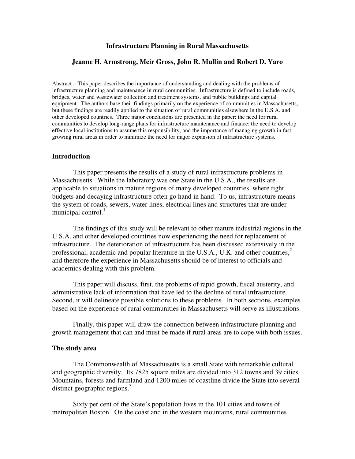#### **Infrastructure Planning in Rural Massachusetts**

# **Jeanne H. Armstrong, Meir Gross, John R. Mullin and Robert D. Yaro**

Abstract – This paper describes the importance of understanding and dealing with the problems of infrastructure planning and maintenance in rural communities. Infrastructure is defined to include roads, bridges, water and wastewater collection and treatment systems, and public buildings and capital equipment. The authors base their findings primarily on the experience of communities in Massachusetts, but these findings are readily applied to the situation of rural communities elsewhere in the U.S.A. and other developed countries. Three major conclusions are presented in the paper: the need for rural communities to develop long-range plans for infrastructure maintenance and finance; the need to develop effective local institutions to assume this responsibility, and the importance of managing growth in fastgrowing rural areas in order to minimize the need for major expansion of infrastructure systems.

# **Introduction**

 This paper presents the results of a study of rural infrastructure problems in Massachusetts. While the laboratory was one State in the U.S.A., the results are applicable to situations in mature regions of many developed countries, where tight budgets and decaying infrastructure often go hand in hand. To us, infrastructure means the system of roads, sewers, water lines, electrical lines and structures that are under municipal control. $<sup>1</sup>$ </sup>

 The findings of this study will be relevant to other mature industrial regions in the U.S.A. and other developed countries now experiencing the need for replacement of infrastructure. The deterioration of infrastructure has been discussed extensively in the professional, academic and popular literature in the U.S.A., U.K. and other countries,  $2^2$ and therefore the experience in Massachusetts should be of interest to officials and academics dealing with this problem.

 This paper will discuss, first, the problems of rapid growth, fiscal austerity, and administrative lack of information that have led to the decline of rural infrastructure. Second, it will delineate possible solutions to these problems. In both sections, examples based on the experience of rural communities in Massachusetts will serve as illustrations.

 Finally, this paper will draw the connection between infrastructure planning and growth management that can and must be made if rural areas are to cope with both issues.

# **The study area**

 The Commonwealth of Massachusetts is a small State with remarkable cultural and geographic diversity. Its 7825 square miles are divided into 312 towns and 39 cities. Mountains, forests and farmland and 1200 miles of coastline divide the State into several distinct geographic regions. $3$ 

 Sixty per cent of the State's population lives in the 101 cities and towns of metropolitan Boston. On the coast and in the western mountains, rural communities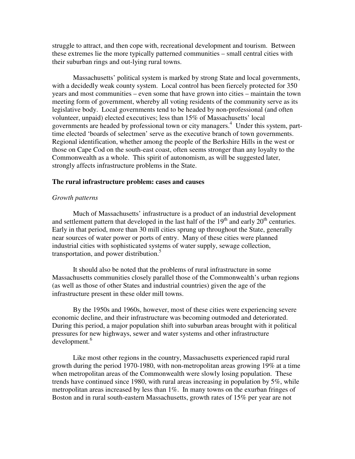struggle to attract, and then cope with, recreational development and tourism. Between these extremes lie the more typically patterned communities – small central cities with their suburban rings and out-lying rural towns.

 Massachusetts' political system is marked by strong State and local governments, with a decidedly weak county system. Local control has been fiercely protected for 350 years and most communities – even some that have grown into cities – maintain the town meeting form of government, whereby all voting residents of the community serve as its legislative body. Local governments tend to be headed by non-professional (and often volunteer, unpaid) elected executives; less than 15% of Massachusetts' local governments are headed by professional town or city managers.<sup>4</sup> Under this system, parttime elected 'boards of selectmen' serve as the executive branch of town governments. Regional identification, whether among the people of the Berkshire Hills in the west or those on Cape Cod on the south-east coast, often seems stronger than any loyalty to the Commonwealth as a whole. This spirit of autonomism, as will be suggested later, strongly affects infrastructure problems in the State.

# **The rural infrastructure problem: cases and causes**

# *Growth patterns*

 Much of Massachusetts' infrastructure is a product of an industrial development and settlement pattern that developed in the last half of the  $19<sup>th</sup>$  and early  $20<sup>th</sup>$  centuries. Early in that period, more than 30 mill cities sprung up throughout the State, generally near sources of water power or ports of entry. Many of these cities were planned industrial cities with sophisticated systems of water supply, sewage collection, transportation, and power distribution.<sup>5</sup>

 It should also be noted that the problems of rural infrastructure in some Massachusetts communities closely parallel those of the Commonwealth's urban regions (as well as those of other States and industrial countries) given the age of the infrastructure present in these older mill towns.

 By the 1950s and 1960s, however, most of these cities were experiencing severe economic decline, and their infrastructure was becoming outmoded and deteriorated. During this period, a major population shift into suburban areas brought with it political pressures for new highways, sewer and water systems and other infrastructure development.<sup>6</sup>

 Like most other regions in the country, Massachusetts experienced rapid rural growth during the period 1970-1980, with non-metropolitan areas growing 19% at a time when metropolitan areas of the Commonwealth were slowly losing population. These trends have continued since 1980, with rural areas increasing in population by 5%, while metropolitan areas increased by less than 1%. In many towns on the exurban fringes of Boston and in rural south-eastern Massachusetts, growth rates of 15% per year are not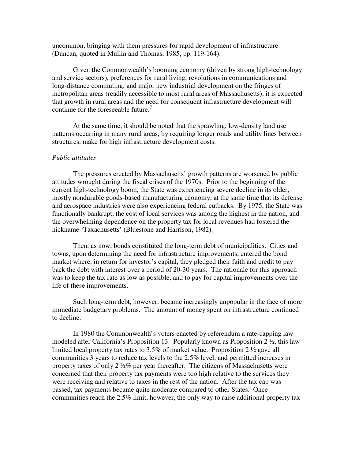uncommon, bringing with them pressures for rapid development of infrastructure (Duncan, quoted in Mullin and Thomas, 1985, pp. 119-164).

 Given the Commonwealth's booming economy (driven by strong high-technology and service sectors), preferences for rural living, revolutions in communications and long-distance commuting, and major new industrial development on the fringes of metropolitan areas (readily accessible to most rural areas of Massachusetts), it is expected that growth in rural areas and the need for consequent infrastructure development will continue for the foreseeable future.<sup>7</sup>

 At the same time, it should be noted that the sprawling, low-density land use patterns occurring in many rural areas, by requiring longer roads and utility lines between structures, make for high infrastructure development costs.

#### *Public attitudes*

 The pressures created by Massachusetts' growth patterns are worsened by public attitudes wrought during the fiscal crises of the 1970s. Prior to the beginning of the current high-technology boom, the State was experiencing severe decline in its older, mostly nondurable goods-based manufacturing economy, at the same time that its defense and aerospace industries were also experiencing federal cutbacks. By 1975, the State was functionally bankrupt, the cost of local services was among the highest in the nation, and the overwhelming dependence on the property tax for local revenues had fostered the nickname 'Taxachusetts' (Bluestone and Harrison, 1982).

 Then, as now, bonds constituted the long-term debt of municipalities. Cities and towns, upon determining the need for infrastructure improvements, entered the bond market where, in return for investor's capital, they pledged their faith and credit to pay back the debt with interest over a period of 20-30 years. The rationale for this approach was to keep the tax rate as low as possible, and to pay for capital improvements over the life of these improvements.

 Such long-term debt, however, became increasingly unpopular in the face of more immediate budgetary problems. The amount of money spent on infrastructure continued to decline.

 In 1980 the Commonwealth's voters enacted by referendum a rate-capping law modeled after California's Proposition 13. Popularly known as Proposition 2 ½, this law limited local property tax rates to 3.5% of market value. Proposition 2 ½ gave all communities 3 years to reduce tax levels to the 2.5% level, and permitted increases in property taxes of only 2 ½% per year thereafter. The citizens of Massachusetts were concerned that their property tax payments were too high relative to the services they were receiving and relative to taxes in the rest of the nation. After the tax cap was passed, tax payments became quite moderate compared to other States. Once communities reach the 2.5% limit, however, the only way to raise additional property tax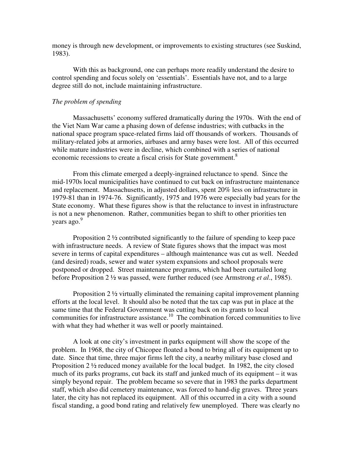money is through new development, or improvements to existing structures (see Suskind, 1983).

 With this as background, one can perhaps more readily understand the desire to control spending and focus solely on 'essentials'. Essentials have not, and to a large degree still do not, include maintaining infrastructure.

# *The problem of spending*

 Massachusetts' economy suffered dramatically during the 1970s. With the end of the Viet Nam War came a phasing down of defense industries; with cutbacks in the national space program space-related firms laid off thousands of workers. Thousands of military-related jobs at armories, airbases and army bases were lost. All of this occurred while mature industries were in decline, which combined with a series of national economic recessions to create a fiscal crisis for State government.<sup>8</sup>

 From this climate emerged a deeply-ingrained reluctance to spend. Since the mid-1970s local municipalities have continued to cut back on infrastructure maintenance and replacement. Massachusetts, in adjusted dollars, spent 20% less on infrastructure in 1979-81 than in 1974-76. Significantly, 1975 and 1976 were especially bad years for the State economy. What these figures show is that the reluctance to invest in infrastructure is not a new phenomenon. Rather, communities began to shift to other priorities ten years ago.<sup>9</sup>

Proposition 2  $\frac{1}{2}$  contributed significantly to the failure of spending to keep pace with infrastructure needs. A review of State figures shows that the impact was most severe in terms of capital expenditures – although maintenance was cut as well. Needed (and desired) roads, sewer and water system expansions and school proposals were postponed or dropped. Street maintenance programs, which had been curtailed long before Proposition 2 ½ was passed, were further reduced (see Armstrong *et al*., 1985).

Proposition  $2\frac{1}{2}$  virtually eliminated the remaining capital improvement planning efforts at the local level. It should also be noted that the tax cap was put in place at the same time that the Federal Government was cutting back on its grants to local communities for infrastructure assistance.<sup>10</sup> The combination forced communities to live with what they had whether it was well or poorly maintained.

 A look at one city's investment in parks equipment will show the scope of the problem. In 1968, the city of Chicopee floated a bond to bring all of its equipment up to date. Since that time, three major firms left the city, a nearby military base closed and Proposition 2 ½ reduced money available for the local budget. In 1982, the city closed much of its parks programs, cut back its staff and junked much of its equipment – it was simply beyond repair. The problem became so severe that in 1983 the parks department staff, which also did cemetery maintenance, was forced to hand-dig graves. Three years later, the city has not replaced its equipment. All of this occurred in a city with a sound fiscal standing, a good bond rating and relatively few unemployed. There was clearly no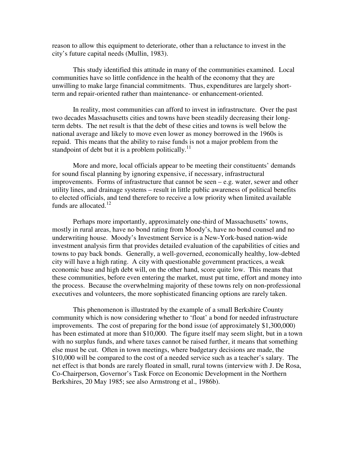reason to allow this equipment to deteriorate, other than a reluctance to invest in the city's future capital needs (Mullin, 1983).

 This study identified this attitude in many of the communities examined. Local communities have so little confidence in the health of the economy that they are unwilling to make large financial commitments. Thus, expenditures are largely shortterm and repair-oriented rather than maintenance- or enhancement-oriented.

 In reality, most communities can afford to invest in infrastructure. Over the past two decades Massachusetts cities and towns have been steadily decreasing their longterm debts. The net result is that the debt of these cities and towns is well below the national average and likely to move even lower as money borrowed in the 1960s is repaid. This means that the ability to raise funds is not a major problem from the standpoint of debt but it is a problem politically.<sup>11</sup>

 More and more, local officials appear to be meeting their constituents' demands for sound fiscal planning by ignoring expensive, if necessary, infrastructural improvements. Forms of infrastructure that cannot be seen – e.g. water, sewer and other utility lines, and drainage systems – result in little public awareness of political benefits to elected officials, and tend therefore to receive a low priority when limited available funds are allocated.<sup>12</sup>

 Perhaps more importantly, approximately one-third of Massachusetts' towns, mostly in rural areas, have no bond rating from Moody's, have no bond counsel and no underwriting house. Moody's Investment Service is a New-York-based nation-wide investment analysis firm that provides detailed evaluation of the capabilities of cities and towns to pay back bonds. Generally, a well-governed, economically healthy, low-debted city will have a high rating. A city with questionable government practices, a weak economic base and high debt will, on the other hand, score quite low. This means that these communities, before even entering the market, must put time, effort and money into the process. Because the overwhelming majority of these towns rely on non-professional executives and volunteers, the more sophisticated financing options are rarely taken.

 This phenomenon is illustrated by the example of a small Berkshire County community which is now considering whether to 'float' a bond for needed infrastructure improvements. The cost of preparing for the bond issue (of approximately \$1,300,000) has been estimated at more than \$10,000. The figure itself may seem slight, but in a town with no surplus funds, and where taxes cannot be raised further, it means that something else must be cut. Often in town meetings, where budgetary decisions are made, the \$10,000 will be compared to the cost of a needed service such as a teacher's salary. The net effect is that bonds are rarely floated in small, rural towns (interview with J. De Rosa, Co-Chairperson, Governor's Task Force on Economic Development in the Northern Berkshires, 20 May 1985; see also Armstrong et al., 1986b).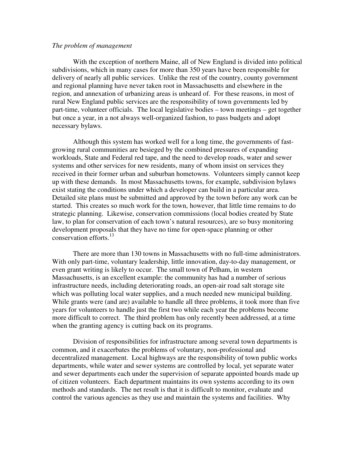#### *The problem of management*

 With the exception of northern Maine, all of New England is divided into political subdivisions, which in many cases for more than 350 years have been responsible for delivery of nearly all public services. Unlike the rest of the country, county government and regional planning have never taken root in Massachusetts and elsewhere in the region, and annexation of urbanizing areas is unheard of. For these reasons, in most of rural New England public services are the responsibility of town governments led by part-time, volunteer officials. The local legislative bodies – town meetings – get together but once a year, in a not always well-organized fashion, to pass budgets and adopt necessary bylaws.

 Although this system has worked well for a long time, the governments of fastgrowing rural communities are besieged by the combined pressures of expanding workloads, State and Federal red tape, and the need to develop roads, water and sewer systems and other services for new residents, many of whom insist on services they received in their former urban and suburban hometowns. Volunteers simply cannot keep up with these demands. In most Massachusetts towns, for example, subdivision bylaws exist stating the conditions under which a developer can build in a particular area. Detailed site plans must be submitted and approved by the town before any work can be started. This creates so much work for the town, however, that little time remains to do strategic planning. Likewise, conservation commissions (local bodies created by State law, to plan for conservation of each town's natural resources), are so busy monitoring development proposals that they have no time for open-space planning or other conservation efforts.<sup>13</sup>

 There are more than 130 towns in Massachusetts with no full-time administrators. With only part-time, voluntary leadership, little innovation, day-to-day management, or even grant writing is likely to occur. The small town of Pelham, in western Massachusetts, is an excellent example: the community has had a number of serious infrastructure needs, including deteriorating roads, an open-air road salt storage site which was polluting local water supplies, and a much needed new municipal building. While grants were (and are) available to handle all three problems, it took more than five years for volunteers to handle just the first two while each year the problems become more difficult to correct. The third problem has only recently been addressed, at a time when the granting agency is cutting back on its programs.

 Division of responsibilities for infrastructure among several town departments is common, and it exacerbates the problems of voluntary, non-professional and decentralized management. Local highways are the responsibility of town public works departments, while water and sewer systems are controlled by local, yet separate water and sewer departments each under the supervision of separate appointed boards made up of citizen volunteers. Each department maintains its own systems according to its own methods and standards. The net result is that it is difficult to monitor, evaluate and control the various agencies as they use and maintain the systems and facilities. Why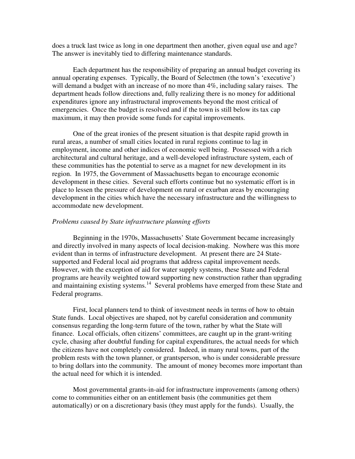does a truck last twice as long in one department then another, given equal use and age? The answer is inevitably tied to differing maintenance standards.

 Each department has the responsibility of preparing an annual budget covering its annual operating expenses. Typically, the Board of Selectmen (the town's 'executive') will demand a budget with an increase of no more than 4%, including salary raises. The department heads follow directions and, fully realizing there is no money for additional expenditures ignore any infrastructural improvements beyond the most critical of emergencies. Once the budget is resolved and if the town is still below its tax cap maximum, it may then provide some funds for capital improvements.

 One of the great ironies of the present situation is that despite rapid growth in rural areas, a number of small cities located in rural regions continue to lag in employment, income and other indices of economic well being. Possessed with a rich architectural and cultural heritage, and a well-developed infrastructure system, each of these communities has the potential to serve as a magnet for new development in its region. In 1975, the Government of Massachusetts began to encourage economic development in these cities. Several such efforts continue but no systematic effort is in place to lessen the pressure of development on rural or exurban areas by encouraging development in the cities which have the necessary infrastructure and the willingness to accommodate new development.

#### *Problems caused by State infrastructure planning efforts*

 Beginning in the 1970s, Massachusetts' State Government became increasingly and directly involved in many aspects of local decision-making. Nowhere was this more evident than in terms of infrastructure development. At present there are 24 Statesupported and Federal local aid programs that address capital improvement needs. However, with the exception of aid for water supply systems, these State and Federal programs are heavily weighted toward supporting new construction rather than upgrading and maintaining existing systems.<sup>14</sup> Several problems have emerged from these State and Federal programs.

 First, local planners tend to think of investment needs in terms of how to obtain State funds. Local objectives are shaped, not by careful consideration and community consensus regarding the long-term future of the town, rather by what the State will finance. Local officials, often citizens' committees, are caught up in the grant-writing cycle, chasing after doubtful funding for capital expenditures, the actual needs for which the citizens have not completely considered. Indeed, in many rural towns, part of the problem rests with the town planner, or grantsperson, who is under considerable pressure to bring dollars into the community. The amount of money becomes more important than the actual need for which it is intended.

 Most governmental grants-in-aid for infrastructure improvements (among others) come to communities either on an entitlement basis (the communities get them automatically) or on a discretionary basis (they must apply for the funds). Usually, the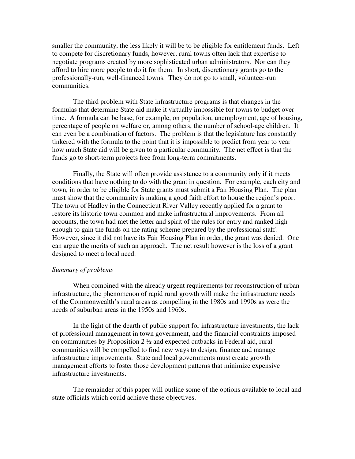smaller the community, the less likely it will be to be eligible for entitlement funds. Left to compete for discretionary funds, however, rural towns often lack that expertise to negotiate programs created by more sophisticated urban administrators. Nor can they afford to hire more people to do it for them. In short, discretionary grants go to the professionally-run, well-financed towns. They do not go to small, volunteer-run communities.

 The third problem with State infrastructure programs is that changes in the formulas that determine State aid make it virtually impossible for towns to budget over time. A formula can be base, for example, on population, unemployment, age of housing, percentage of people on welfare or, among others, the number of school-age children. It can even be a combination of factors. The problem is that the legislature has constantly tinkered with the formula to the point that it is impossible to predict from year to year how much State aid will be given to a particular community. The net effect is that the funds go to short-term projects free from long-term commitments.

 Finally, the State will often provide assistance to a community only if it meets conditions that have nothing to do with the grant in question. For example, each city and town, in order to be eligible for State grants must submit a Fair Housing Plan. The plan must show that the community is making a good faith effort to house the region's poor. The town of Hadley in the Connecticut River Valley recently applied for a grant to restore its historic town common and make infrastructural improvements. From all accounts, the town had met the letter and spirit of the rules for entry and ranked high enough to gain the funds on the rating scheme prepared by the professional staff. However, since it did not have its Fair Housing Plan in order, the grant was denied. One can argue the merits of such an approach. The net result however is the loss of a grant designed to meet a local need.

# *Summary of problems*

 When combined with the already urgent requirements for reconstruction of urban infrastructure, the phenomenon of rapid rural growth will make the infrastructure needs of the Commonwealth's rural areas as compelling in the 1980s and 1990s as were the needs of suburban areas in the 1950s and 1960s.

 In the light of the dearth of public support for infrastructure investments, the lack of professional management in town government, and the financial constraints imposed on communities by Proposition 2 ½ and expected cutbacks in Federal aid, rural communities will be compelled to find new ways to design, finance and manage infrastructure improvements. State and local governments must create growth management efforts to foster those development patterns that minimize expensive infrastructure investments.

 The remainder of this paper will outline some of the options available to local and state officials which could achieve these objectives.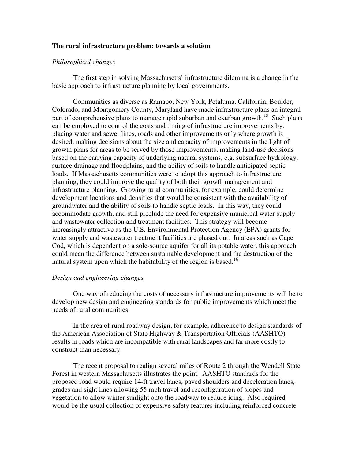# **The rural infrastructure problem: towards a solution**

# *Philosophical changes*

 The first step in solving Massachusetts' infrastructure dilemma is a change in the basic approach to infrastructure planning by local governments.

 Communities as diverse as Ramapo, New York, Petaluma, California, Boulder, Colorado, and Montgomery County, Maryland have made infrastructure plans an integral part of comprehensive plans to manage rapid suburban and exurban growth.<sup>15</sup> Such plans can be employed to control the costs and timing of infrastructure improvements by: placing water and sewer lines, roads and other improvements only where growth is desired; making decisions about the size and capacity of improvements in the light of growth plans for areas to be served by those improvements; making land-use decisions based on the carrying capacity of underlying natural systems, e.g. subsurface hydrology, surface drainage and floodplains, and the ability of soils to handle anticipated septic loads. If Massachusetts communities were to adopt this approach to infrastructure planning, they could improve the quality of both their growth management and infrastructure planning. Growing rural communities, for example, could determine development locations and densities that would be consistent with the availability of groundwater and the ability of soils to handle septic loads. In this way, they could accommodate growth, and still preclude the need for expensive municipal water supply and wastewater collection and treatment facilities. This strategy will become increasingly attractive as the U.S. Environmental Protection Agency (EPA) grants for water supply and wastewater treatment facilities are phased out. In areas such as Cape Cod, which is dependent on a sole-source aquifer for all its potable water, this approach could mean the difference between sustainable development and the destruction of the natural system upon which the habitability of the region is based.<sup>16</sup>

# *Design and engineering changes*

 One way of reducing the costs of necessary infrastructure improvements will be to develop new design and engineering standards for public improvements which meet the needs of rural communities.

 In the area of rural roadway design, for example, adherence to design standards of the American Association of State Highway & Transportation Officials (AASHTO) results in roads which are incompatible with rural landscapes and far more costly to construct than necessary.

 The recent proposal to realign several miles of Route 2 through the Wendell State Forest in western Massachusetts illustrates the point. AASHTO standards for the proposed road would require 14-ft travel lanes, paved shoulders and deceleration lanes, grades and sight lines allowing 55 mph travel and reconfiguration of slopes and vegetation to allow winter sunlight onto the roadway to reduce icing. Also required would be the usual collection of expensive safety features including reinforced concrete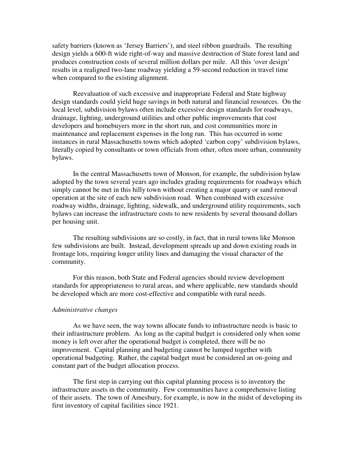safety barriers (known as 'Jersey Barriers'), and steel ribbon guardrails. The resulting design yields a 600-ft wide right-of-way and massive destruction of State forest land and produces construction costs of several million dollars per mile. All this 'over design' results in a realigned two-lane roadway yielding a 59-second reduction in travel time when compared to the existing alignment.

 Reevaluation of such excessive and inappropriate Federal and State highway design standards could yield huge savings in both natural and financial resources. On the local level, subdivision bylaws often include excessive design standards for roadways, drainage, lighting, underground utilities and other public improvements that cost developers and homebuyers more in the short run, and cost communities more in maintenance and replacement expenses in the long run. This has occurred in some instances in rural Massachusetts towns which adopted 'carbon copy' subdivision bylaws, literally copied by consultants or town officials from other, often more urban, community bylaws.

 In the central Massachusetts town of Monson, for example, the subdivision bylaw adopted by the town several years ago includes grading requirements for roadways which simply cannot be met in this hilly town without creating a major quarry or sand removal operation at the site of each new subdivision road. When combined with excessive roadway widths, drainage, lighting, sidewalk, and underground utility requirements, such bylaws can increase the infrastructure costs to new residents by several thousand dollars per housing unit.

 The resulting subdivisions are so costly, in fact, that in rural towns like Monson few subdivisions are built. Instead, development spreads up and down existing roads in frontage lots, requiring longer utility lines and damaging the visual character of the community.

 For this reason, both State and Federal agencies should review development standards for appropriateness to rural areas, and where applicable, new standards should be developed which are more cost-effective and compatible with rural needs.

## *Administrative changes*

 As we have seen, the way towns allocate funds to infrastructure needs is basic to their infrastructure problem. As long as the capital budget is considered only when some money is left over after the operational budget is completed, there will be no improvement. Capital planning and budgeting cannot be lumped together with operational budgeting. Rather, the capital budget must be considered an on-going and constant part of the budget allocation process.

 The first step in carrying out this capital planning process is to inventory the infrastructure assets in the community. Few communities have a comprehensive listing of their assets. The town of Amesbury, for example, is now in the midst of developing its first inventory of capital facilities since 1921.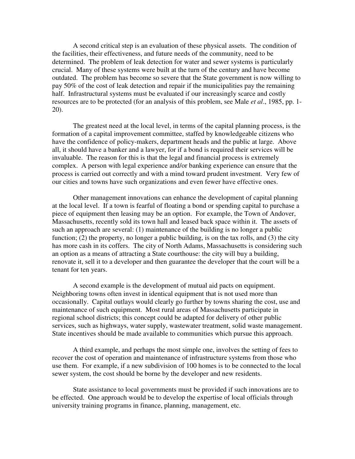A second critical step is an evaluation of these physical assets. The condition of the facilities, their effectiveness, and future needs of the community, need to be determined. The problem of leak detection for water and sewer systems is particularly crucial. Many of these systems were built at the turn of the century and have become outdated. The problem has become so severe that the State government is now willing to pay 50% of the cost of leak detection and repair if the municipalities pay the remaining half. Infrastructural systems must be evaluated if our increasingly scarce and costly resources are to be protected (for an analysis of this problem, see Male *et al*., 1985, pp. 1- 20).

 The greatest need at the local level, in terms of the capital planning process, is the formation of a capital improvement committee, staffed by knowledgeable citizens who have the confidence of policy-makers, department heads and the public at large. Above all, it should have a banker and a lawyer, for if a bond is required their services will be invaluable. The reason for this is that the legal and financial process is extremely complex. A person with legal experience and/or banking experience can ensure that the process is carried out correctly and with a mind toward prudent investment. Very few of our cities and towns have such organizations and even fewer have effective ones.

 Other management innovations can enhance the development of capital planning at the local level. If a town is fearful of floating a bond or spending capital to purchase a piece of equipment then leasing may be an option. For example, the Town of Andover, Massachusetts, recently sold its town hall and leased back space within it. The assets of such an approach are several: (1) maintenance of the building is no longer a public function; (2) the property, no longer a public building, is on the tax rolls, and (3) the city has more cash in its coffers. The city of North Adams, Massachusetts is considering such an option as a means of attracting a State courthouse: the city will buy a building, renovate it, sell it to a developer and then guarantee the developer that the court will be a tenant for ten years.

 A second example is the development of mutual aid pacts on equipment. Neighboring towns often invest in identical equipment that is not used more than occasionally. Capital outlays would clearly go further by towns sharing the cost, use and maintenance of such equipment. Most rural areas of Massachusetts participate in regional school districts; this concept could be adapted for delivery of other public services, such as highways, water supply, wastewater treatment, solid waste management. State incentives should be made available to communities which pursue this approach.

 A third example, and perhaps the most simple one, involves the setting of fees to recover the cost of operation and maintenance of infrastructure systems from those who use them. For example, if a new subdivision of 100 homes is to be connected to the local sewer system, the cost should be borne by the developer and new residents.

 State assistance to local governments must be provided if such innovations are to be effected. One approach would be to develop the expertise of local officials through university training programs in finance, planning, management, etc.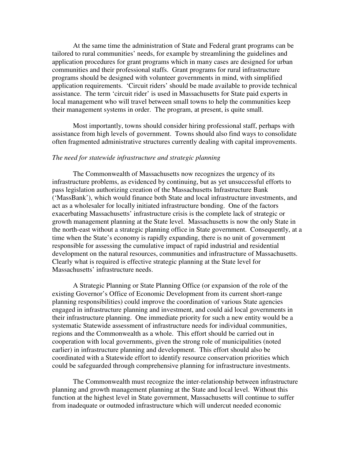At the same time the administration of State and Federal grant programs can be tailored to rural communities' needs, for example by streamlining the guidelines and application procedures for grant programs which in many cases are designed for urban communities and their professional staffs. Grant programs for rural infrastructure programs should be designed with volunteer governments in mind, with simplified application requirements. 'Circuit riders' should be made available to provide technical assistance. The term 'circuit rider' is used in Massachusetts for State paid experts in local management who will travel between small towns to help the communities keep their management systems in order. The program, at present, is quite small.

 Most importantly, towns should consider hiring professional staff, perhaps with assistance from high levels of government. Towns should also find ways to consolidate often fragmented administrative structures currently dealing with capital improvements.

# *The need for statewide infrastructure and strategic planning*

 The Commonwealth of Massachusetts now recognizes the urgency of its infrastructure problems, as evidenced by continuing, but as yet unsuccessful efforts to pass legislation authorizing creation of the Massachusetts Infrastructure Bank ('MassBank'), which would finance both State and local infrastructure investments, and act as a wholesaler for locally initiated infrastructure bonding. One of the factors exacerbating Massachusetts' infrastructure crisis is the complete lack of strategic or growth management planning at the State level. Massachusetts is now the only State in the north-east without a strategic planning office in State government. Consequently, at a time when the State's economy is rapidly expanding, there is no unit of government responsible for assessing the cumulative impact of rapid industrial and residential development on the natural resources, communities and infrastructure of Massachusetts. Clearly what is required is effective strategic planning at the State level for Massachusetts' infrastructure needs.

 A Strategic Planning or State Planning Office (or expansion of the role of the existing Governor's Office of Economic Development from its current short-range planning responsibilities) could improve the coordination of various State agencies engaged in infrastructure planning and investment, and could aid local governments in their infrastructure planning. One immediate priority for such a new entity would be a systematic Statewide assessment of infrastructure needs for individual communities, regions and the Commonwealth as a whole. This effort should be carried out in cooperation with local governments, given the strong role of municipalities (noted earlier) in infrastructure planning and development. This effort should also be coordinated with a Statewide effort to identify resource conservation priorities which could be safeguarded through comprehensive planning for infrastructure investments.

 The Commonwealth must recognize the inter-relationship between infrastructure planning and growth management planning at the State and local level. Without this function at the highest level in State government, Massachusetts will continue to suffer from inadequate or outmoded infrastructure which will undercut needed economic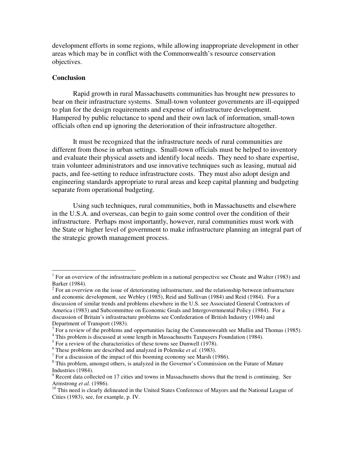development efforts in some regions, while allowing inappropriate development in other areas which may be in conflict with the Commonwealth's resource conservation objectives.

# **Conclusion**

 $\overline{a}$ 

 Rapid growth in rural Massachusetts communities has brought new pressures to bear on their infrastructure systems. Small-town volunteer governments are ill-equipped to plan for the design requirements and expense of infrastructure development. Hampered by public reluctance to spend and their own lack of information, small-town officials often end up ignoring the deterioration of their infrastructure altogether.

 It must be recognized that the infrastructure needs of rural communities are different from those in urban settings. Small-town officials must be helped to inventory and evaluate their physical assets and identify local needs. They need to share expertise, train volunteer administrators and use innovative techniques such as leasing, mutual aid pacts, and fee-setting to reduce infrastructure costs. They must also adopt design and engineering standards appropriate to rural areas and keep capital planning and budgeting separate from operational budgeting.

 Using such techniques, rural communities, both in Massachusetts and elsewhere in the U.S.A. and overseas, can begin to gain some control over the condition of their infrastructure. Perhaps most importantly, however, rural communities must work with the State or higher level of government to make infrastructure planning an integral part of the strategic growth management process.

<sup>&</sup>lt;sup>1</sup> For an overview of the infrastructure problem in a national perspective see Choate and Walter (1983) and Barker (1984).

 $2^{2}$  For an overview on the issue of deteriorating infrastructure, and the relationship between infrastructure and economic development, see Webley (1985), Reid and Sullivan (1984) and Reid (1984). For a discussion of similar trends and problems elsewhere in the U.S. see Associated General Contractors of America (1983) and Subcommittee on Economic Goals and Intergovernmental Policy (1984). For a discussion of Britain's infrastructure problems see Confederation of British Industry (1984) and Department of Transport (1983).

 $3$  For a review of the problems and opportunities facing the Commonwealth see Mullin and Thomas (1985).

<sup>&</sup>lt;sup>4</sup> This problem is discussed at some length in Massachusetts Taxpayers Foundation (1984).

 $<sup>5</sup>$  For a review of the characteristics of these towns see Dunwell (1978).</sup>

<sup>6</sup> These problems are described and analyzed in Polenske *et al.* (1983).

 $<sup>7</sup>$  For a discussion of the impact of this booming economy see Marsh (1986).</sup>

<sup>&</sup>lt;sup>8</sup> This problem, amongst others, is analyzed in the Governor's Commission on the Future of Mature Industries (1984).<br><sup>9</sup> Recent data collected on 17 cities and towns in Massachusetts shows that the trend is continuing. See

Armstrong *et al.* (1986).

<sup>&</sup>lt;sup>10</sup> This need is clearly delineated in the United States Conference of Mayors and the National League of Cities (1983), see, for example, p. IV.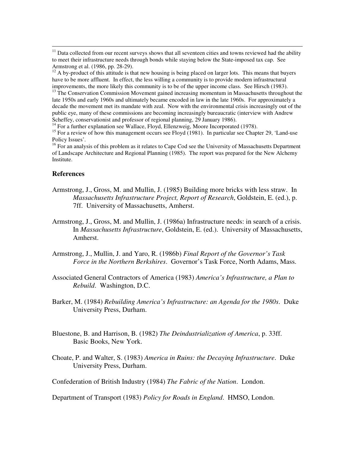<sup>11</sup> Data collected from our recent surveys shows that all seventeen cities and towns reviewed had the ability to meet their infrastructure needs through bonds while staying below the State-imposed tax cap. See Armstrong et al. (1986, pp. 28-29).

 $12$  A by-product of this attitude is that new housing is being placed on larger lots. This means that buyers have to be more affluent. In effect, the less willing a community is to provide modern infrastructural improvements, the more likely this community is to be of the upper income class. See Hirsch (1983).

<sup>13</sup> The Conservation Commission Movement gained increasing momentum in Massachusetts throughout the late 1950s and early 1960s and ultimately became encoded in law in the late 1960s. For approximately a decade the movement met its mandate with zeal. Now with the environmental crisis increasingly out of the public eye, many of these commissions are becoming increasingly bureaucratic (interview with Andrew Scheffey, conservationist and professor of regional planning, 29 January 1986).

 $14$  For a further explanation see Wallace, Floyd, Ellenzweig, Moore Incorporated (1978).

<sup>15</sup> For a review of how this management occurs see Floyd (1981). In particular see Chapter 29, 'Land-use Policy Issues'.

<sup>16</sup> For an analysis of this problem as it relates to Cape Cod see the University of Massachusetts Department of Landscape Architecture and Regional Planning (1985). The report was prepared for the New Alchemy Institute.

# **References**

 $\overline{a}$ 

- Armstrong, J., Gross, M. and Mullin, J. (1985) Building more bricks with less straw. In *Massachusetts Infrastructure Project, Report of Research*, Goldstein, E. (ed.), p. 7ff. University of Massachusetts, Amherst.
- Armstrong, J., Gross, M. and Mullin, J. (1986a) Infrastructure needs: in search of a crisis. In *Massachusetts Infrastructure*, Goldstein, E. (ed.). University of Massachusetts, Amherst.
- Armstrong, J., Mullin, J. and Yaro, R. (1986b) *Final Report of the Governor's Task Force in the Northern Berkshires*. Governor's Task Force, North Adams, Mass.
- Associated General Contractors of America (1983) *America's Infrastructure, a Plan to Rebuild*. Washington, D.C.
- Barker, M. (1984) *Rebuilding America's Infrastructure: an Agenda for the 1980s*. Duke University Press, Durham.
- Bluestone, B. and Harrison, B. (1982) *The Deindustrialization of America*, p. 33ff. Basic Books, New York.
- Choate, P. and Walter, S. (1983) *America in Ruins: the Decaying Infrastructure*. Duke University Press, Durham.

Confederation of British Industry (1984) *The Fabric of the Nation*. London.

Department of Transport (1983) *Policy for Roads in England*. HMSO, London.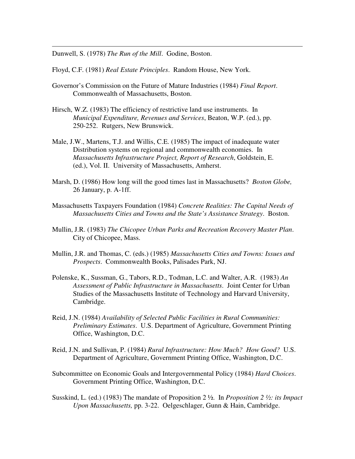Dunwell, S. (1978) *The Run of the Mill*. Godine, Boston.

 $\overline{a}$ 

Floyd, C.F. (1981) *Real Estate Principles*. Random House, New York.

- Governor's Commission on the Future of Mature Industries (1984) *Final Report*. Commonwealth of Massachusetts, Boston.
- Hirsch, W.Z. (1983) The efficiency of restrictive land use instruments. In *Municipal Expenditure, Revenues and Services*, Beaton, W.P. (ed.), pp. 250-252. Rutgers, New Brunswick.
- Male, J.W., Martens, T.J. and Willis, C.E. (1985) The impact of inadequate water Distribution systems on regional and commonwealth economies. In *Massachusetts Infrastructure Project, Report of Research*, Goldstein, E. (ed.), Vol. II. University of Massachusetts, Amherst.
- Marsh, D. (1986) How long will the good times last in Massachusetts? *Boston Globe,*  26 January, p. A-1ff.
- Massachusetts Taxpayers Foundation (1984) *Concrete Realities: The Capital Needs of Massachusetts Cities and Towns and the State's Assistance Strategy*. Boston.
- Mullin, J.R. (1983) *The Chicopee Urban Parks and Recreation Recovery Master Plan*. City of Chicopee, Mass.
- Mullin, J.R. and Thomas, C. (eds.) (1985) *Massachusetts Cities and Towns: Issues and Prospects*. Commonwealth Books, Palisades Park, NJ.
- Polenske, K., Sussman, G., Tabors, R.D., Todman, L.C. and Walter, A.R. (1983) *An Assessment of Public Infrastructure in Massachusetts*. Joint Center for Urban Studies of the Massachusetts Institute of Technology and Harvard University, Cambridge.
- Reid, J.N. (1984) *Availability of Selected Public Facilities in Rural Communities: Preliminary Estimates*. U.S. Department of Agriculture, Government Printing Office, Washington, D.C.
- Reid, J.N. and Sullivan, P. (1984) *Rural Infrastructure: How Much? How Good?* U.S. Department of Agriculture, Government Printing Office, Washington, D.C.
- Subcommittee on Economic Goals and Intergovernmental Policy (1984) *Hard Choices*. Government Printing Office, Washington, D.C.
- Susskind, L. (ed.) (1983) The mandate of Proposition 2 ½. In *Proposition 2 ½: its Impact Upon Massachusetts,* pp. 3-22. Oelgeschlager, Gunn & Hain, Cambridge.